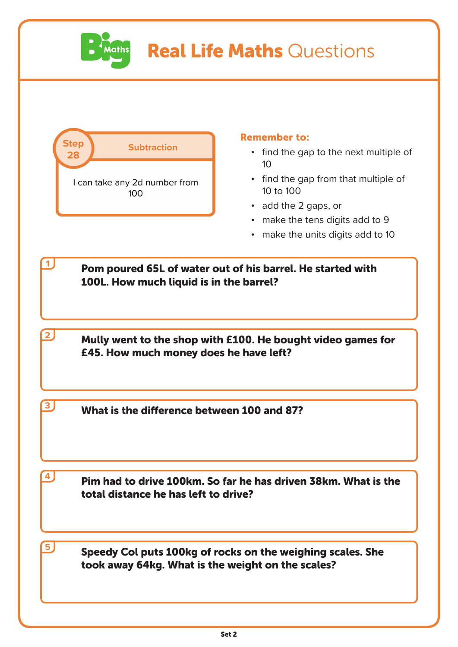

## Real Life Maths Questions